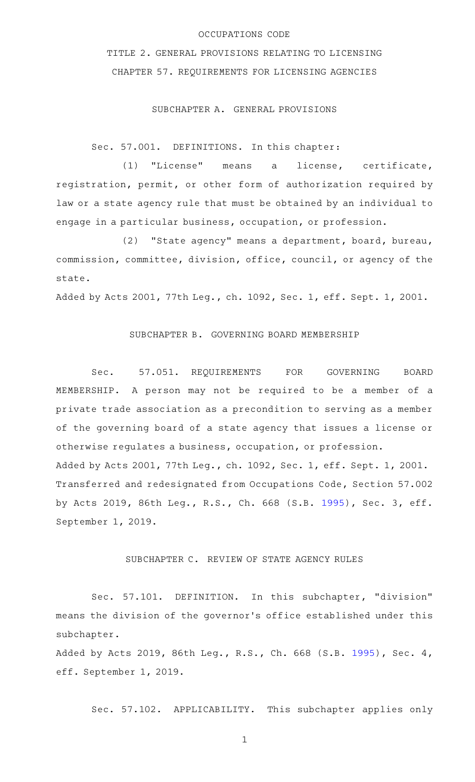## OCCUPATIONS CODE

TITLE 2. GENERAL PROVISIONS RELATING TO LICENSING CHAPTER 57. REQUIREMENTS FOR LICENSING AGENCIES

## SUBCHAPTER A. GENERAL PROVISIONS

Sec. 57.001. DEFINITIONS. In this chapter:

(1) "License" means a license, certificate, registration, permit, or other form of authorization required by law or a state agency rule that must be obtained by an individual to engage in a particular business, occupation, or profession.

(2) "State agency" means a department, board, bureau, commission, committee, division, office, council, or agency of the state.

Added by Acts 2001, 77th Leg., ch. 1092, Sec. 1, eff. Sept. 1, 2001.

## SUBCHAPTER B. GOVERNING BOARD MEMBERSHIP

Sec. 57.051. REQUIREMENTS FOR GOVERNING BOARD MEMBERSHIP. A person may not be required to be a member of a private trade association as a precondition to serving as a member of the governing board of a state agency that issues a license or otherwise regulates a business, occupation, or profession. Added by Acts 2001, 77th Leg., ch. 1092, Sec. 1, eff. Sept. 1, 2001. Transferred and redesignated from Occupations Code, Section 57.002 by Acts 2019, 86th Leg., R.S., Ch. 668 (S.B. [1995](http://www.legis.state.tx.us/tlodocs/86R/billtext/html/SB01995F.HTM)), Sec. 3, eff. September 1, 2019.

## SUBCHAPTER C. REVIEW OF STATE AGENCY RULES

Sec. 57.101. DEFINITION. In this subchapter, "division" means the division of the governor 's office established under this subchapter.

Added by Acts 2019, 86th Leg., R.S., Ch. 668 (S.B. [1995](http://www.legis.state.tx.us/tlodocs/86R/billtext/html/SB01995F.HTM)), Sec. 4, eff. September 1, 2019.

Sec. 57.102. APPLICABILITY. This subchapter applies only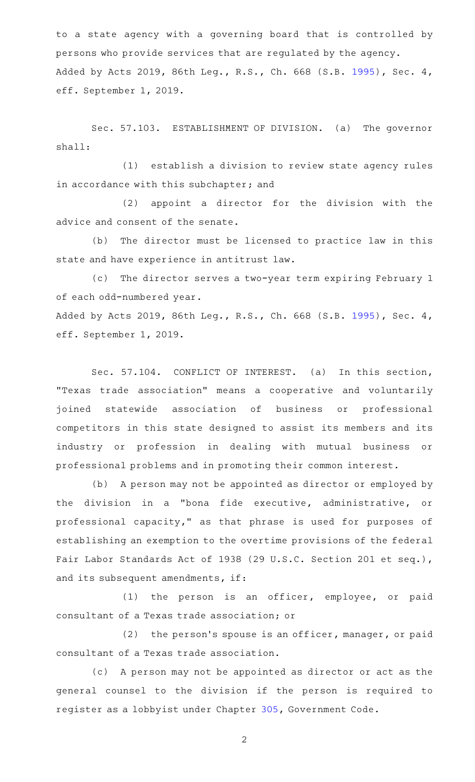to a state agency with a governing board that is controlled by persons who provide services that are regulated by the agency. Added by Acts 2019, 86th Leg., R.S., Ch. 668 (S.B. [1995](http://www.legis.state.tx.us/tlodocs/86R/billtext/html/SB01995F.HTM)), Sec. 4, eff. September 1, 2019.

Sec. 57.103. ESTABLISHMENT OF DIVISION. (a) The governor shall:

(1) establish a division to review state agency rules in accordance with this subchapter; and

 $(2)$  appoint a director for the division with the advice and consent of the senate.

(b) The director must be licensed to practice law in this state and have experience in antitrust law.

(c) The director serves a two-year term expiring February 1 of each odd-numbered year. Added by Acts 2019, 86th Leg., R.S., Ch. 668 (S.B. [1995](http://www.legis.state.tx.us/tlodocs/86R/billtext/html/SB01995F.HTM)), Sec. 4, eff. September 1, 2019.

Sec. 57.104. CONFLICT OF INTEREST. (a) In this section, "Texas trade association" means a cooperative and voluntarily joined statewide association of business or professional competitors in this state designed to assist its members and its industry or profession in dealing with mutual business or professional problems and in promoting their common interest.

(b) A person may not be appointed as director or employed by the division in a "bona fide executive, administrative, or professional capacity," as that phrase is used for purposes of establishing an exemption to the overtime provisions of the federal Fair Labor Standards Act of 1938 (29 U.S.C. Section 201 et seq.), and its subsequent amendments, if:

(1) the person is an officer, employee, or paid consultant of a Texas trade association; or

(2) the person's spouse is an officer, manager, or paid consultant of a Texas trade association.

(c) A person may not be appointed as director or act as the general counsel to the division if the person is required to register as a lobbyist under Chapter [305,](http://www.statutes.legis.state.tx.us/GetStatute.aspx?Code=GV&Value=305) Government Code.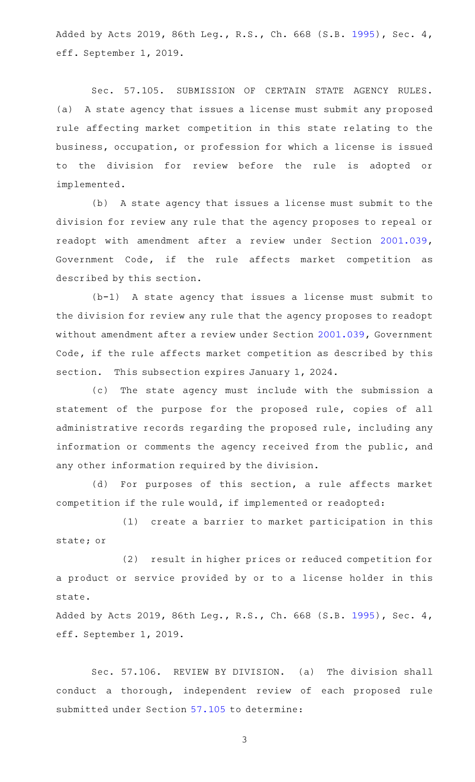Added by Acts 2019, 86th Leg., R.S., Ch. 668 (S.B. [1995](http://www.legis.state.tx.us/tlodocs/86R/billtext/html/SB01995F.HTM)), Sec. 4, eff. September 1, 2019.

Sec. 57.105. SUBMISSION OF CERTAIN STATE AGENCY RULES. (a) A state agency that issues a license must submit any proposed rule affecting market competition in this state relating to the business, occupation, or profession for which a license is issued to the division for review before the rule is adopted or implemented.

(b) A state agency that issues a license must submit to the division for review any rule that the agency proposes to repeal or readopt with amendment after a review under Section [2001.039](http://www.statutes.legis.state.tx.us/GetStatute.aspx?Code=GV&Value=2001.039), Government Code, if the rule affects market competition as described by this section.

 $(b-1)$  A state agency that issues a license must submit to the division for review any rule that the agency proposes to readopt without amendment after a review under Section [2001.039,](http://www.statutes.legis.state.tx.us/GetStatute.aspx?Code=GV&Value=2001.039) Government Code, if the rule affects market competition as described by this section. This subsection expires January 1, 2024.

(c) The state agency must include with the submission a statement of the purpose for the proposed rule, copies of all administrative records regarding the proposed rule, including any information or comments the agency received from the public, and any other information required by the division.

(d) For purposes of this section, a rule affects market competition if the rule would, if implemented or readopted:

(1) create a barrier to market participation in this state; or

(2) result in higher prices or reduced competition for a product or service provided by or to a license holder in this state.

Added by Acts 2019, 86th Leg., R.S., Ch. 668 (S.B. [1995](http://www.legis.state.tx.us/tlodocs/86R/billtext/html/SB01995F.HTM)), Sec. 4, eff. September 1, 2019.

Sec. 57.106. REVIEW BY DIVISION. (a) The division shall conduct a thorough, independent review of each proposed rule submitted under Section [57.105](http://www.statutes.legis.state.tx.us/GetStatute.aspx?Code=OC&Value=57.105) to determine: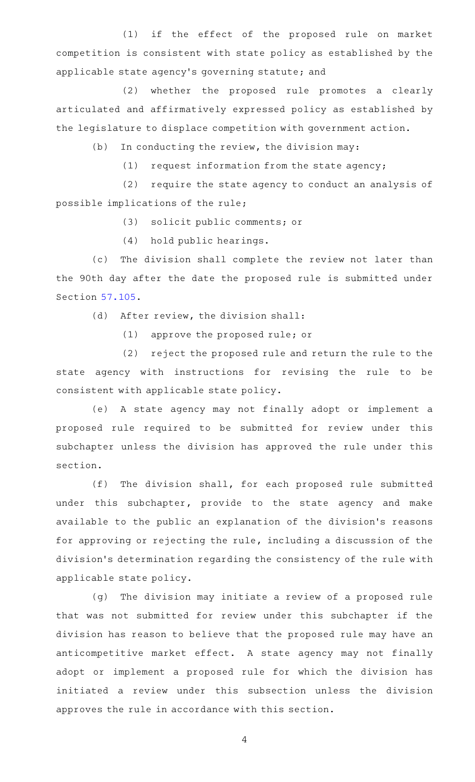(1) if the effect of the proposed rule on market competition is consistent with state policy as established by the applicable state agency 's governing statute; and

(2) whether the proposed rule promotes a clearly articulated and affirmatively expressed policy as established by the legislature to displace competition with government action.

 $(b)$  In conducting the review, the division may:

 $(1)$  request information from the state agency;

(2) require the state agency to conduct an analysis of possible implications of the rule;

(3) solicit public comments; or

(4) hold public hearings.

(c) The division shall complete the review not later than the 90th day after the date the proposed rule is submitted under Section [57.105](http://www.statutes.legis.state.tx.us/GetStatute.aspx?Code=OC&Value=57.105).

 $(d)$  After review, the division shall:

(1) approve the proposed rule; or

(2) reject the proposed rule and return the rule to the state agency with instructions for revising the rule to be consistent with applicable state policy.

(e)AAA state agency may not finally adopt or implement a proposed rule required to be submitted for review under this subchapter unless the division has approved the rule under this section.

(f) The division shall, for each proposed rule submitted under this subchapter, provide to the state agency and make available to the public an explanation of the division 's reasons for approving or rejecting the rule, including a discussion of the division 's determination regarding the consistency of the rule with applicable state policy.

(g) The division may initiate a review of a proposed rule that was not submitted for review under this subchapter if the division has reason to believe that the proposed rule may have an anticompetitive market effect. A state agency may not finally adopt or implement a proposed rule for which the division has initiated a review under this subsection unless the division approves the rule in accordance with this section.